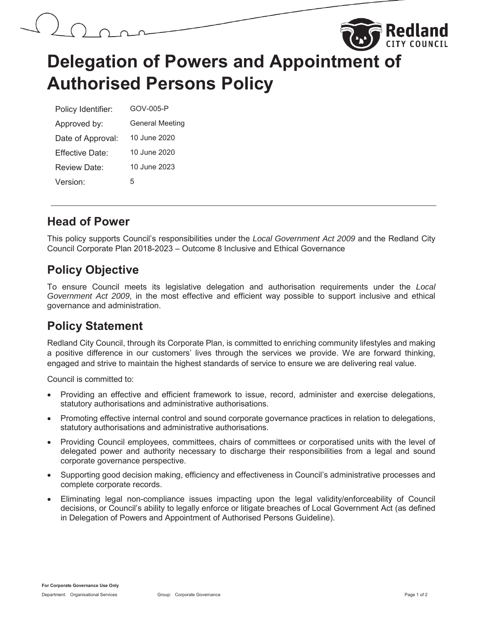

# **Delegation of Powers and Appointment of Authorised Persons Policy**

| Policy Identifier: | GOV-005-P              |
|--------------------|------------------------|
| Approved by:       | <b>General Meeting</b> |
| Date of Approval:  | 10 June 2020           |
| Fffective Date:    | 10 June 2020           |
| Review Date:       | 10 June 2023           |
| Version:           | 5                      |

#### **Head of Power**

This policy supports Council's responsibilities under the *Local Government Act 2009* and the Redland City Council Corporate Plan 2018-2023 – Outcome 8 Inclusive and Ethical Governance

### **Policy Objective**

To ensure Council meets its legislative delegation and authorisation requirements under the *Local Government Act 2009*, in the most effective and efficient way possible to support inclusive and ethical governance and administration.

## **Policy Statement**

Redland City Council, through its Corporate Plan, is committed to enriching community lifestyles and making a positive difference in our customers' lives through the services we provide. We are forward thinking, engaged and strive to maintain the highest standards of service to ensure we are delivering real value.

Council is committed to:

- Providing an effective and efficient framework to issue, record, administer and exercise delegations, statutory authorisations and administrative authorisations.
- Promoting effective internal control and sound corporate governance practices in relation to delegations, statutory authorisations and administrative authorisations.
- Providing Council employees, committees, chairs of committees or corporatised units with the level of delegated power and authority necessary to discharge their responsibilities from a legal and sound corporate governance perspective.
- Supporting good decision making, efficiency and effectiveness in Council's administrative processes and complete corporate records.
- Eliminating legal non-compliance issues impacting upon the legal validity/enforceability of Council decisions, or Council's ability to legally enforce or litigate breaches of Local Government Act (as defined in Delegation of Powers and Appointment of Authorised Persons Guideline).